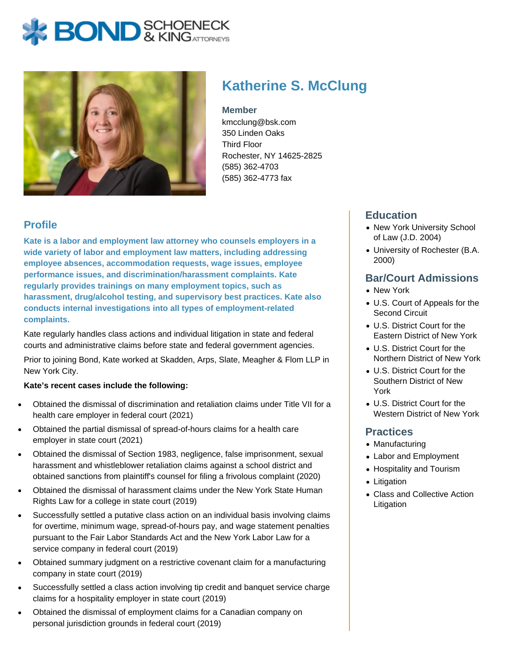# **BOND** & KING ATTORNECK



# **Katherine S. McClung**

#### **Member**

kmcclung@bsk.com 350 Linden Oaks Third Floor Rochester, NY 14625-2825 (585) 362-4703 (585) 362-4773 fax

### **Profile**

**Kate is a labor and employment law attorney who counsels employers in a wide variety of labor and employment law matters, including addressing employee absences, accommodation requests, wage issues, employee performance issues, and discrimination/harassment complaints. Kate regularly provides trainings on many employment topics, such as harassment, drug/alcohol testing, and supervisory best practices. Kate also conducts internal investigations into all types of employment-related complaints.**

Kate regularly handles class actions and individual litigation in state and federal courts and administrative claims before state and federal government agencies.

Prior to joining Bond, Kate worked at Skadden, Arps, Slate, Meagher & Flom LLP in New York City.

#### **Kate's recent cases include the following:**

- Obtained the dismissal of discrimination and retaliation claims under Title VII for a health care employer in federal court (2021)
- Obtained the partial dismissal of spread-of-hours claims for a health care employer in state court (2021)
- Obtained the dismissal of Section 1983, negligence, false imprisonment, sexual harassment and whistleblower retaliation claims against a school district and obtained sanctions from plaintiff's counsel for filing a frivolous complaint (2020)
- Obtained the dismissal of harassment claims under the New York State Human Rights Law for a college in state court (2019)
- Successfully settled a putative class action on an individual basis involving claims for overtime, minimum wage, spread-of-hours pay, and wage statement penalties pursuant to the Fair Labor Standards Act and the New York Labor Law for a service company in federal court (2019)
- Obtained summary judgment on a restrictive covenant claim for a manufacturing  $\bullet$ company in state court (2019)
- Successfully settled a class action involving tip credit and banquet service charge claims for a hospitality employer in state court (2019)
- Obtained the dismissal of employment claims for a Canadian company on personal jurisdiction grounds in federal court (2019)

#### **Education**

- New York University School of Law (J.D. 2004)
- University of Rochester (B.A. 2000)

#### **Bar/Court Admissions**

- New York
- U.S. Court of Appeals for the Second Circuit
- U.S. District Court for the Eastern District of New York
- U.S. District Court for the Northern District of New York
- U.S. District Court for the Southern District of New York
- U.S. District Court for the Western District of New York

#### **Practices**

- Manufacturing
- Labor and Employment
- Hospitality and Tourism
- Litigation
- Class and Collective Action Litigation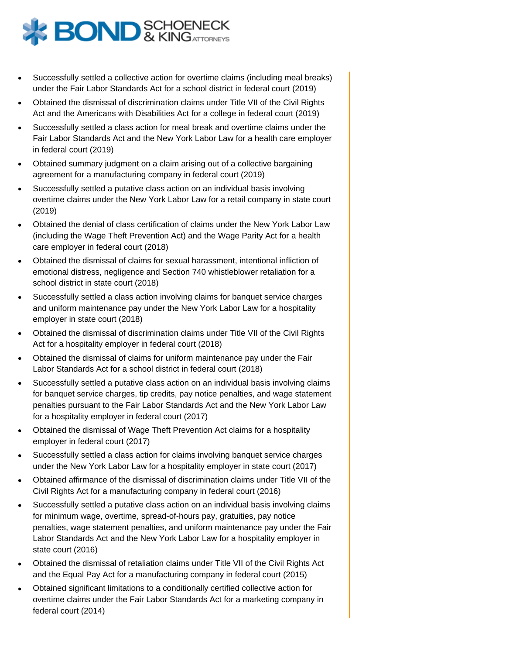

- Successfully settled a collective action for overtime claims (including meal breaks) under the Fair Labor Standards Act for a school district in federal court (2019)
- Obtained the dismissal of discrimination claims under Title VII of the Civil Rights Act and the Americans with Disabilities Act for a college in federal court (2019)
- Successfully settled a class action for meal break and overtime claims under the Fair Labor Standards Act and the New York Labor Law for a health care employer in federal court (2019)
- Obtained summary judgment on a claim arising out of a collective bargaining agreement for a manufacturing company in federal court (2019)
- Successfully settled a putative class action on an individual basis involving overtime claims under the New York Labor Law for a retail company in state court (2019)
- Obtained the denial of class certification of claims under the New York Labor Law (including the Wage Theft Prevention Act) and the Wage Parity Act for a health care employer in federal court (2018)
- Obtained the dismissal of claims for sexual harassment, intentional infliction of emotional distress, negligence and Section 740 whistleblower retaliation for a school district in state court (2018)
- Successfully settled a class action involving claims for banquet service charges and uniform maintenance pay under the New York Labor Law for a hospitality employer in state court (2018)
- Obtained the dismissal of discrimination claims under Title VII of the Civil Rights Act for a hospitality employer in federal court (2018)
- Obtained the dismissal of claims for uniform maintenance pay under the Fair Labor Standards Act for a school district in federal court (2018)
- Successfully settled a putative class action on an individual basis involving claims for banquet service charges, tip credits, pay notice penalties, and wage statement penalties pursuant to the Fair Labor Standards Act and the New York Labor Law for a hospitality employer in federal court (2017)
- Obtained the dismissal of Wage Theft Prevention Act claims for a hospitality employer in federal court (2017)
- Successfully settled a class action for claims involving banquet service charges under the New York Labor Law for a hospitality employer in state court (2017)
- Obtained affirmance of the dismissal of discrimination claims under Title VII of the Civil Rights Act for a manufacturing company in federal court (2016)
- Successfully settled a putative class action on an individual basis involving claims for minimum wage, overtime, spread-of-hours pay, gratuities, pay notice penalties, wage statement penalties, and uniform maintenance pay under the Fair Labor Standards Act and the New York Labor Law for a hospitality employer in state court (2016)
- Obtained the dismissal of retaliation claims under Title VII of the Civil Rights Act and the Equal Pay Act for a manufacturing company in federal court (2015)
- Obtained significant limitations to a conditionally certified collective action for overtime claims under the Fair Labor Standards Act for a marketing company in federal court (2014)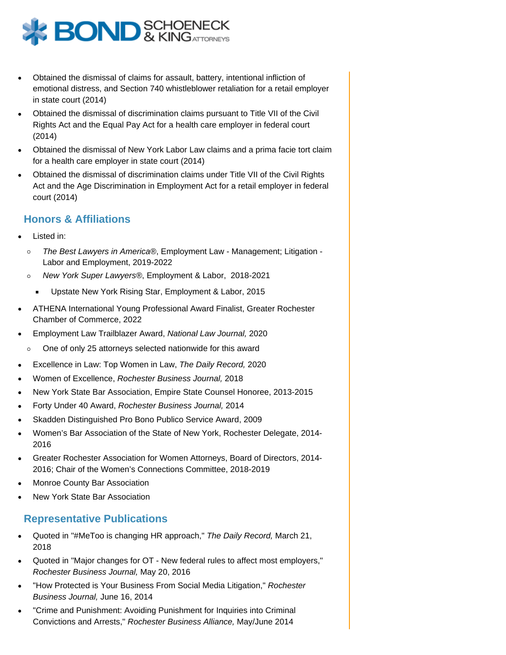

- Obtained the dismissal of claims for assault, battery, intentional infliction of emotional distress, and Section 740 whistleblower retaliation for a retail employer in state court (2014)
- Obtained the dismissal of discrimination claims pursuant to Title VII of the Civil Rights Act and the Equal Pay Act for a health care employer in federal court (2014)
- Obtained the dismissal of New York Labor Law claims and a prima facie tort claim for a health care employer in state court (2014)
- Obtained the dismissal of discrimination claims under Title VII of the Civil Rights Act and the Age Discrimination in Employment Act for a retail employer in federal court (2014)

#### **Honors & Affiliations**

- Listed in:
	- $\circ$ The Best Lawyers in America®, Employment Law - Management; Litigation - Labor and Employment, 2019-2022
	- $\circ$ New York Super Lawyers®, Employment & Labor, 2018-2021
	- Upstate New York Rising Star, Employment & Labor, 2015
- ATHENA International Young Professional Award Finalist, Greater Rochester Chamber of Commerce, 2022
- Employment Law Trailblazer Award, National Law Journal, 2020
- $\circ$ One of only 25 attorneys selected nationwide for this award
- Excellence in Law: Top Women in Law, The Daily Record, 2020
- Women of Excellence, Rochester Business Journal, 2018
- New York State Bar Association, Empire State Counsel Honoree, 2013-2015
- Forty Under 40 Award, Rochester Business Journal, 2014
- Skadden Distinguished Pro Bono Publico Service Award, 2009
- Women's Bar Association of the State of New York, Rochester Delegate, 2014- 2016
- Greater Rochester Association for Women Attorneys, Board of Directors, 2014- 2016; Chair of the Women's Connections Committee, 2018-2019
- Monroe County Bar Association
- New York State Bar Association

#### **Representative Publications**

- Quoted in "#MeToo is changing HR approach," The Daily Record, March 21, 2018
- Quoted in "Major changes for OT New federal rules to affect most employers," Rochester Business Journal, May 20, 2016
- "How Protected is Your Business From Social Media Litigation," Rochester Business Journal, June 16, 2014
- "Crime and Punishment: Avoiding Punishment for Inquiries into Criminal Convictions and Arrests," Rochester Business Alliance, May/June 2014